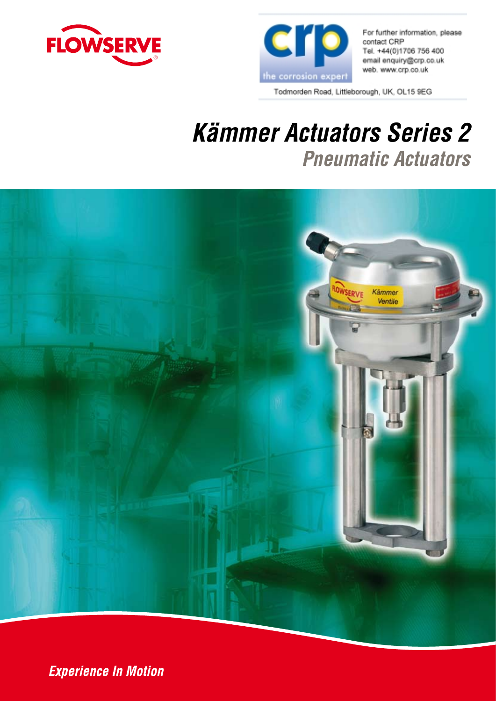



For further information, please contact CRP Tel. +44(0)1706 756 400 email enquiry@crp.co.uk web. www.crp.co.uk

Todmorden Road, Littleborough, UK, OL15 9EG

# *Kämmer Actuators Series 2 Pneumatic Actuators*



**Experience In Motion**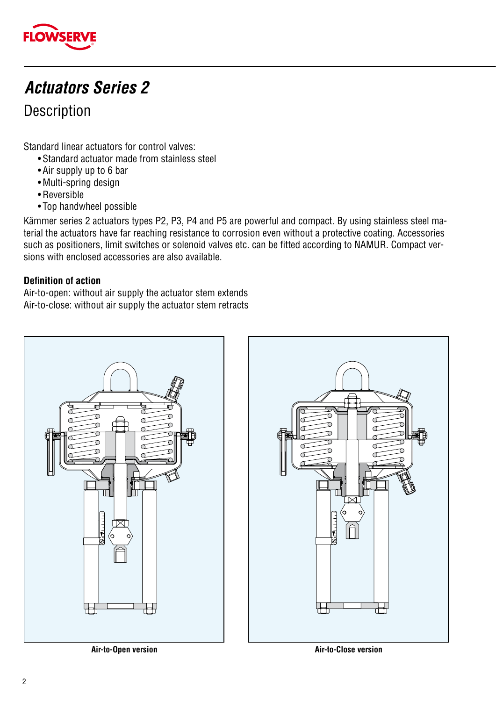

### *Actuators Series 2*

#### Description

Standard linear actuators for control valves:

- Standard actuator made from stainless steel
- Air supply up to 6 bar
- Multi-spring design
- Reversible
- Top handwheel possible

Kämmer series 2 actuators types P2, P3, P4 and P5 are powerful and compact. By using stainless steel material the actuators have far reaching resistance to corrosion even without a protective coating. Accessories such as positioners, limit switches or solenoid valves etc. can be fitted according to NAMUR. Compact versions with enclosed accessories are also available.

#### **Definition of action**

Air-to-open: without air supply the actuator stem extends Air-to-close: without air supply the actuator stem retracts



**Air-to-Open version Air-to-Close version**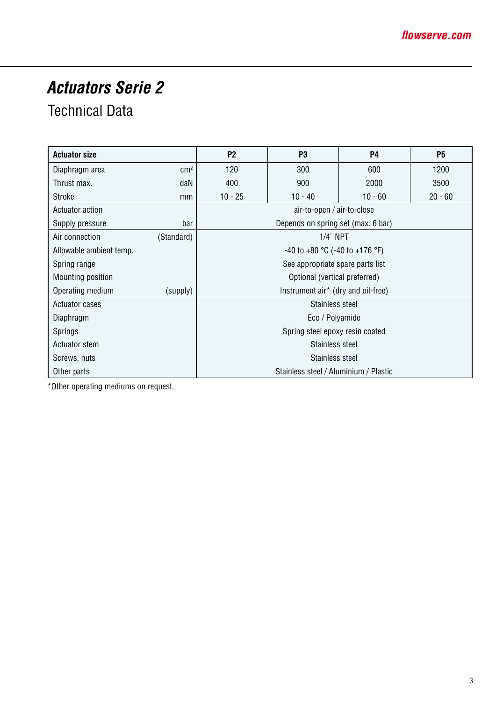## *Actuators Serie 2*

### Technical Data

| <b>Actuator size</b>    |                                       | P <sub>2</sub>                          | P <sub>3</sub>                     | <b>P4</b> | <b>P5</b> |  |  |  |  |  |  |
|-------------------------|---------------------------------------|-----------------------------------------|------------------------------------|-----------|-----------|--|--|--|--|--|--|
| Diaphragm area          | cm <sup>2</sup>                       | 120                                     | 300                                | 600       | 1200      |  |  |  |  |  |  |
| Thrust max.             | daN                                   | 400                                     | 900                                | 2000      | 3500      |  |  |  |  |  |  |
| Stroke                  | mm                                    | $10 - 25$                               | $10 - 40$                          | $10 - 60$ | $20 - 60$ |  |  |  |  |  |  |
| Actuator action         |                                       |                                         | air-to-open / air-to-close         |           |           |  |  |  |  |  |  |
| Supply pressure         | bar                                   |                                         | Depends on spring set (max. 6 bar) |           |           |  |  |  |  |  |  |
| Air connection          | (Standard)                            |                                         | $1/4$ " NPT                        |           |           |  |  |  |  |  |  |
| Allowable ambient temp. |                                       | $-40$ to $+80$ °C ( $-40$ to $+176$ °F) |                                    |           |           |  |  |  |  |  |  |
| Spring range            |                                       | See appropriate spare parts list        |                                    |           |           |  |  |  |  |  |  |
| Mounting position       |                                       |                                         | Optional (vertical preferred)      |           |           |  |  |  |  |  |  |
| Operating medium        | (supply)                              | Instrument air* (dry and oil-free)      |                                    |           |           |  |  |  |  |  |  |
| Actuator cases          |                                       |                                         | Stainless steel                    |           |           |  |  |  |  |  |  |
| Diaphragm               |                                       | Eco / Polyamide                         |                                    |           |           |  |  |  |  |  |  |
| Springs                 |                                       | Spring steel epoxy resin coated         |                                    |           |           |  |  |  |  |  |  |
| Actuator stem           |                                       | Stainless steel                         |                                    |           |           |  |  |  |  |  |  |
| Screws, nuts            |                                       |                                         | Stainless steel                    |           |           |  |  |  |  |  |  |
| Other parts             | Stainless steel / Aluminium / Plastic |                                         |                                    |           |           |  |  |  |  |  |  |

\*Other operating mediums on request.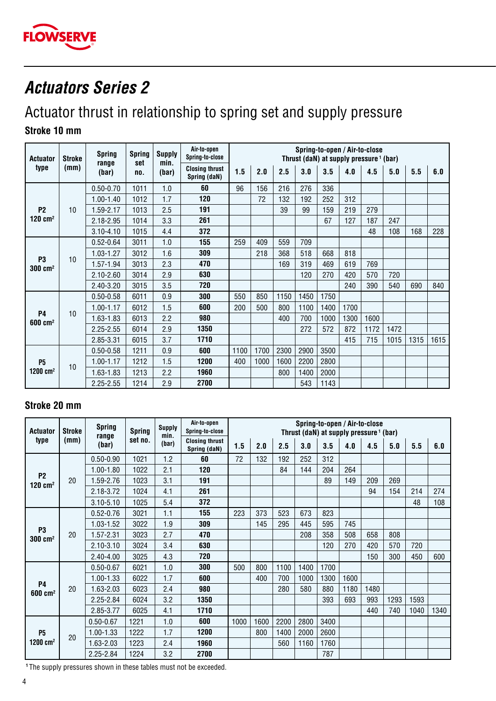

#### *Actuators Series 2*

## Actuator thrust in relationship to spring set and supply pressure

#### **Stroke 10 mm**

| <b>Actuator</b>                      | <b>Stroke</b> | <b>Spring</b><br>range | <b>Spring</b><br>set | <b>Supply</b><br>min. | Air-to-open<br>Spring-to-close        |      |      |      |      | Spring-to-open / Air-to-close<br>Thrust (daN) at supply pressure <sup>1</sup> (bar) |      |      |      |      |      |
|--------------------------------------|---------------|------------------------|----------------------|-----------------------|---------------------------------------|------|------|------|------|-------------------------------------------------------------------------------------|------|------|------|------|------|
| type                                 | (mm)          | (bar)                  | no.                  | (bar)                 | <b>Closing thrust</b><br>Spring (daN) | 1.5  | 2.0  | 2.5  | 3.0  | 3.5                                                                                 | 4.0  | 4.5  | 5.0  | 5.5  | 6.0  |
|                                      |               | $0.50 - 0.70$          | 1011                 | 1.0                   | 60                                    | 96   | 156  | 216  | 276  | 336                                                                                 |      |      |      |      |      |
|                                      |               | $1.00 - 1.40$          | 1012                 | 1.7                   | 120                                   |      | 72   | 132  | 192  | 252                                                                                 | 312  |      |      |      |      |
| P <sub>2</sub>                       | 10            | 1.59-2.17              | 1013                 | 2.5                   | 191                                   |      |      | 39   | 99   | 159                                                                                 | 219  | 279  |      |      |      |
| $120$ cm <sup>2</sup>                |               | 2.18-2.95              | 1014                 | 3.3                   | 261                                   |      |      |      |      | 67                                                                                  | 127  | 187  | 247  |      |      |
|                                      |               | $3.10 - 4.10$          | 1015                 | 4.4                   | 372                                   |      |      |      |      |                                                                                     |      | 48   | 108  | 168  | 228  |
|                                      |               | $0.52 - 0.64$          | 3011                 | 1.0                   | 155                                   | 259  | 409  | 559  | 709  |                                                                                     |      |      |      |      |      |
|                                      |               | $1.03 - 1.27$          | 3012                 | 1.6                   | 309                                   |      | 218  | 368  | 518  | 668                                                                                 | 818  |      |      |      |      |
| P <sub>3</sub><br>$300 \text{ cm}^2$ | 10            | 1.57-1.94              | 3013                 | 2.3                   | 470                                   |      |      | 169  | 319  | 469                                                                                 | 619  | 769  |      |      |      |
|                                      |               | $2.10 - 2.60$          | 3014                 | 2.9                   | 630                                   |      |      |      | 120  | 270                                                                                 | 420  | 570  | 720  |      |      |
|                                      |               | 2.40-3.20              | 3015                 | 3.5                   | 720                                   |      |      |      |      |                                                                                     | 240  | 390  | 540  | 690  | 840  |
|                                      |               | $0.50 - 0.58$          | 6011                 | 0.9                   | 300                                   | 550  | 850  | 1150 | 1450 | 1750                                                                                |      |      |      |      |      |
|                                      |               | $1.00 - 1.17$          | 6012                 | 1.5                   | 600                                   | 200  | 500  | 800  | 1100 | 1400                                                                                | 1700 |      |      |      |      |
| <b>P4</b><br>$600$ cm <sup>2</sup>   | 10            | 1.63-1.83              | 6013                 | 2.2                   | 980                                   |      |      | 400  | 700  | 1000                                                                                | 1300 | 1600 |      |      |      |
|                                      |               | $2.25 - 2.55$          | 6014                 | 2.9                   | 1350                                  |      |      |      | 272  | 572                                                                                 | 872  | 1172 | 1472 |      |      |
|                                      |               | 2.85-3.31              | 6015                 | 3.7                   | 1710                                  |      |      |      |      |                                                                                     | 415  | 715  | 1015 | 1315 | 1615 |
|                                      |               | $0.50 - 0.58$          | 1211                 | 0.9                   | 600                                   | 1100 | 1700 | 2300 | 2900 | 3500                                                                                |      |      |      |      |      |
| P <sub>5</sub>                       | 10            | $1.00 - 1.17$          | 1212                 | 1.5                   | 1200                                  | 400  | 1000 | 1600 | 2200 | 2800                                                                                |      |      |      |      |      |
| 1200 $cm2$                           |               | 1.63-1.83              | 1213                 | 2.2                   | 1960                                  |      |      | 800  | 1400 | 2000                                                                                |      |      |      |      |      |
|                                      |               | $2.25 - 2.55$          | 1214                 | 2.9                   | 2700                                  |      |      |      | 543  | 1143                                                                                |      |      |      |      |      |

#### **Stroke 20 mm**

| <b>Actuator</b>                      | <b>Stroke</b> | <b>Spring</b><br>range | <b>Spring</b> | <b>Supply</b><br>min. | Air-to-open<br>Spring-to-close        | Spring-to-open / Air-to-close<br>Thrust (daN) at supply pressure <sup>1</sup> (bar) |      |      |      |      |      |      |      |      |      |  |
|--------------------------------------|---------------|------------------------|---------------|-----------------------|---------------------------------------|-------------------------------------------------------------------------------------|------|------|------|------|------|------|------|------|------|--|
| type                                 | (mm)          | (bar)                  | set no.       | (bar)                 | <b>Closing thrust</b><br>Spring (daN) | 1.5                                                                                 | 2.0  | 2.5  | 3.0  | 3.5  | 4.0  | 4.5  | 5.0  | 5.5  | 6.0  |  |
|                                      |               | $0.50 - 0.90$          | 1021          | 1.2                   | 60                                    | 72                                                                                  | 132  | 192  | 252  | 312  |      |      |      |      |      |  |
|                                      |               | $1.00 - 1.80$          | 1022          | 2.1                   | 120                                   |                                                                                     |      | 84   | 144  | 204  | 264  |      |      |      |      |  |
| P <sub>2</sub><br>$120 \text{ cm}^2$ | 20            | 1.59-2.76              | 1023          | 3.1                   | 191                                   |                                                                                     |      |      |      | 89   | 149  | 209  | 269  |      |      |  |
|                                      |               | 2.18-3.72              | 1024          | 4.1                   | 261                                   |                                                                                     |      |      |      |      |      | 94   | 154  | 214  | 274  |  |
|                                      |               | $3.10 - 5.10$          | 1025          | 5.4                   | 372                                   |                                                                                     |      |      |      |      |      |      |      | 48   | 108  |  |
|                                      |               | $0.52 - 0.76$          | 3021          | 1.1                   | 155                                   | 223                                                                                 | 373  | 523  | 673  | 823  |      |      |      |      |      |  |
| P <sub>3</sub>                       |               | $1.03 - 1.52$          | 3022          | 1.9                   | 309                                   |                                                                                     | 145  | 295  | 445  | 595  | 745  |      |      |      |      |  |
| $300 \text{ cm}^2$                   | 20            | $1.57 - 2.31$          | 3023          | 2.7                   | 470                                   |                                                                                     |      |      | 208  | 358  | 508  | 658  | 808  |      |      |  |
|                                      |               | $2.10 - 3.10$          | 3024          | 3.4                   | 630                                   |                                                                                     |      |      |      | 120  | 270  | 420  | 570  | 720  |      |  |
|                                      |               | $2.40 - 4.00$          | 3025          | 4.3                   | 720                                   |                                                                                     |      |      |      |      |      | 150  | 300  | 450  | 600  |  |
|                                      |               | $0.50 - 0.67$          | 6021          | 1.0                   | 300                                   | 500                                                                                 | 800  | 1100 | 1400 | 1700 |      |      |      |      |      |  |
|                                      |               | $1.00 - 1.33$          | 6022          | 1.7                   | 600                                   |                                                                                     | 400  | 700  | 1000 | 1300 | 1600 |      |      |      |      |  |
| <b>P4</b><br>$600$ cm <sup>2</sup>   | 20            | 1.63-2.03              | 6023          | 2.4                   | 980                                   |                                                                                     |      | 280  | 580  | 880  | 1180 | 1480 |      |      |      |  |
|                                      |               | 2.25-2.84              | 6024          | 3.2                   | 1350                                  |                                                                                     |      |      |      | 393  | 693  | 993  | 1293 | 1593 |      |  |
|                                      |               | 2.85-3.77              | 6025          | 4.1                   | 1710                                  |                                                                                     |      |      |      |      |      | 440  | 740  | 1040 | 1340 |  |
|                                      |               | $0.50 - 0.67$          | 1221          | 1.0                   | 600                                   | 1000                                                                                | 1600 | 2200 | 2800 | 3400 |      |      |      |      |      |  |
| <b>P5</b>                            | 20            | $1.00 - 1.33$          | 1222          | 1.7                   | 1200                                  |                                                                                     | 800  | 1400 | 2000 | 2600 |      |      |      |      |      |  |
| $1200 \, \text{cm}^2$                |               | 1.63-2.03              | 1223          | 2.4                   | 1960                                  |                                                                                     |      | 560  | 1160 | 1760 |      |      |      |      |      |  |
|                                      |               | 2.25-2.84              | 1224          | 3.2                   | 2700                                  |                                                                                     |      |      |      | 787  |      |      |      |      |      |  |

 **1** The supply pressures shown in these tables must not be exceeded.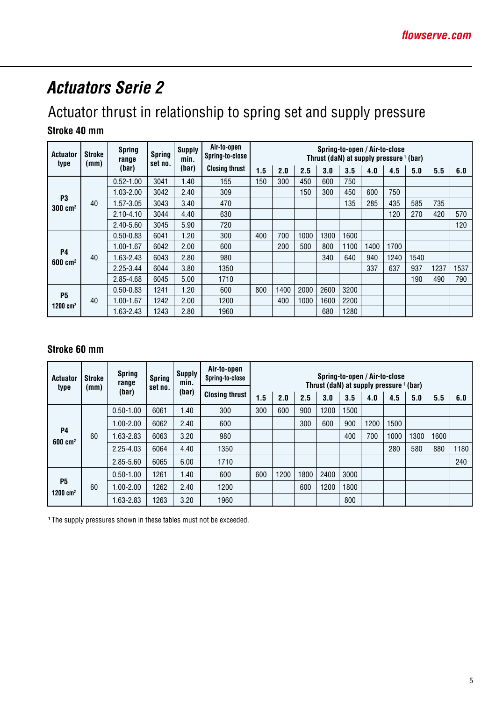## *Actuators Serie 2*

## Actuator thrust in relationship to spring set and supply pressure

#### **Stroke 40 mm**

| <b>Actuator</b>                      | <b>Stroke</b> | <b>Spring</b><br>range | <b>Spring</b><br>set no. | <b>Supply</b><br>min. | Air-to-open<br>Spring-to-open / Air-to-close<br>Spring-to-close<br>Thrust (daN) at supply pressure <sup>1</sup> (bar) |     |      |      |      |      |      |      |      |      |      |
|--------------------------------------|---------------|------------------------|--------------------------|-----------------------|-----------------------------------------------------------------------------------------------------------------------|-----|------|------|------|------|------|------|------|------|------|
| type                                 | (mm)          | (bar)                  |                          | (bar)                 | <b>Closing thrust</b>                                                                                                 | 1.5 | 2.0  | 2.5  | 3.0  | 3.5  | 4.0  | 4.5  | 5.0  | 5.5  | 6.0  |
|                                      |               | $0.52 - 1.00$          | 3041                     | 1.40                  | 155                                                                                                                   | 150 | 300  | 450  | 600  | 750  |      |      |      |      |      |
|                                      |               | 1.03-2.00              | 3042                     | 2.40                  | 309                                                                                                                   |     |      | 150  | 300  | 450  | 600  | 750  |      |      |      |
| P <sub>3</sub><br>$300 \text{ cm}^2$ | 40            | 1.57-3.05              | 3043                     | 3.40                  | 470                                                                                                                   |     |      |      |      | 135  | 285  | 435  | 585  | 735  |      |
|                                      |               | $2.10 - 4.10$          | 3044                     | 4.40                  | 630                                                                                                                   |     |      |      |      |      |      | 120  | 270  | 420  | 570  |
|                                      |               | 2.40-5.60              | 3045                     | 5.90                  | 720                                                                                                                   |     |      |      |      |      |      |      |      |      | 120  |
|                                      |               | $0.50 - 0.83$          | 6041                     | 1.20                  | 300                                                                                                                   | 400 | 700  | 1000 | 1300 | 1600 |      |      |      |      |      |
| <b>P4</b>                            |               | 1.00-1.67              | 6042                     | 2.00                  | 600                                                                                                                   |     | 200  | 500  | 800  | 1100 | 1400 | 1700 |      |      |      |
| $600 \text{ cm}^2$                   | 40            | 1.63-2.43              | 6043                     | 2.80                  | 980                                                                                                                   |     |      |      | 340  | 640  | 940  | 1240 | 1540 |      |      |
|                                      |               | $2.25 - 3.44$          | 6044                     | 3.80                  | 1350                                                                                                                  |     |      |      |      |      | 337  | 637  | 937  | 1237 | 1537 |
|                                      |               | 2.85-4.68              | 6045                     | 5.00                  | 1710                                                                                                                  |     |      |      |      |      |      |      | 190  | 490  | 790  |
| <b>P5</b>                            |               | $0.50 - 0.83$          | 1241                     | 1.20                  | 600                                                                                                                   | 800 | 1400 | 2000 | 2600 | 3200 |      |      |      |      |      |
| 1200 cm <sup>2</sup>                 | 40            | 1.00-1.67              | 1242                     | 2.00                  | 1200                                                                                                                  |     | 400  | 1000 | 1600 | 2200 |      |      |      |      |      |
|                                      |               | 1.63-2.43              | 1243                     | 2.80                  | 1960                                                                                                                  |     |      |      | 680  | 1280 |      |      |      |      |      |

#### **Stroke 60 mm**

| <b>Actuator</b>                 | <b>Stroke</b> | <b>Spring</b><br>range | <b>Spring</b> | <b>Supply</b><br>min. | Air-to-open<br>Spring-to-close |     |      |      |      | Spring-to-open / Air-to-close<br>Thrust (daN) at supply pressure <sup>1</sup> (bar) |      |      |      |      |      |  |  |
|---------------------------------|---------------|------------------------|---------------|-----------------------|--------------------------------|-----|------|------|------|-------------------------------------------------------------------------------------|------|------|------|------|------|--|--|
| type                            | (mm)          | (bar)                  | set no.       | (bar)                 | <b>Closing thrust</b>          | 1.5 | 2.0  | 2.5  | 3.0  | 3.5                                                                                 | 4.0  | 4.5  | 5.0  | 5.5  | 6.0  |  |  |
|                                 |               | $0.50 - 1.00$          | 6061          | 1.40                  | 300                            | 300 | 600  | 900  | 1200 | 1500                                                                                |      |      |      |      |      |  |  |
|                                 |               | $1.00 - 2.00$          | 6062          | 2.40                  | 600                            |     |      | 300  | 600  | 900                                                                                 | 1200 | 1500 |      |      |      |  |  |
| <b>P4</b><br>$600 \text{ cm}^2$ | 60            | 1.63-2.83              | 6063          | 3.20                  | 980                            |     |      |      |      | 400                                                                                 | 700  | 1000 | 1300 | 1600 |      |  |  |
|                                 |               | 2.25-4.03              | 6064          | 4.40                  | 1350                           |     |      |      |      |                                                                                     |      | 280  | 580  | 880  | 1180 |  |  |
|                                 |               | 2.85-5.60              | 6065          | 6.00                  | 1710                           |     |      |      |      |                                                                                     |      |      |      |      | 240  |  |  |
|                                 |               | $0.50 - 1.00$          | 1261          | 1.40                  | 600                            | 600 | 1200 | 1800 | 2400 | 3000                                                                                |      |      |      |      |      |  |  |
| <b>P5</b><br>1200 $cm2$         | 60            | $1.00 - 2.00$          | 1262          | 2.40                  | 1200                           |     |      | 600  | 1200 | 1800                                                                                |      |      |      |      |      |  |  |
|                                 |               | 1.63-2.83              | 1263          | 3.20                  | 1960                           |     |      |      |      | 800                                                                                 |      |      |      |      |      |  |  |

 **1** The supply pressures shown in these tables must not be exceeded.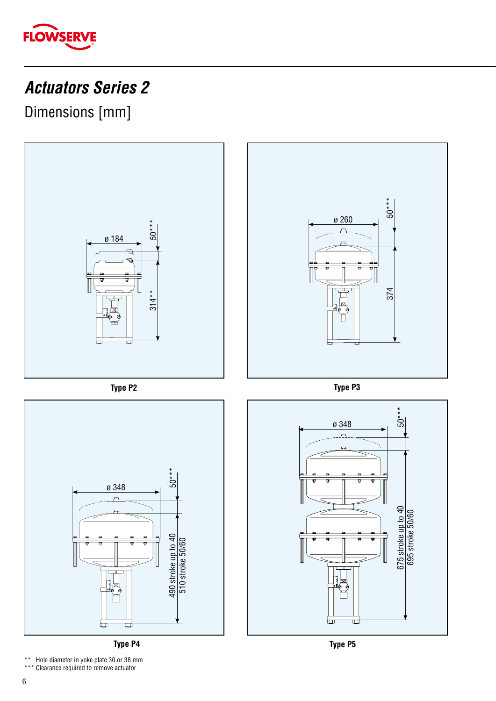

## *Actuators Series 2*

Dimensions [mm]



**Type P4**

\*\* Hole diameter in yoke plate 30 or 38 mm<br>\*\*\* Clearance required to remove actuator

\* Clearance required to remove actuator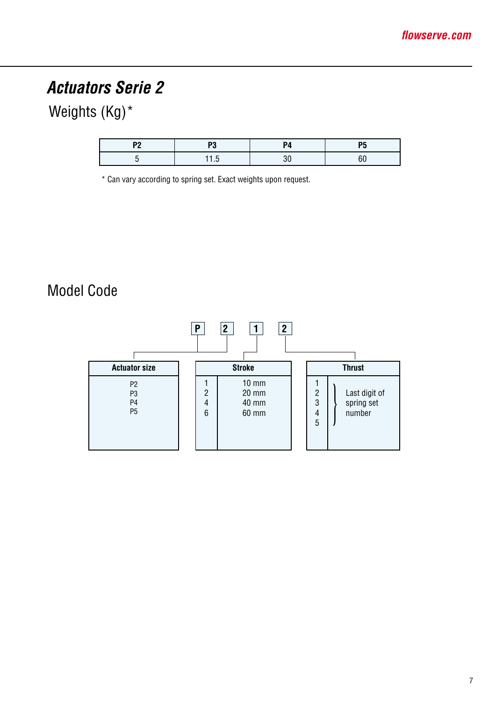## *Actuators Serie 2*

### Weights (Kg)<sup>\*</sup>

| ю. |  | -- |  |  |
|----|--|----|--|--|
|    |  |    |  |  |

\* Can vary according to spring set. Exact weights upon request.

#### Model Code